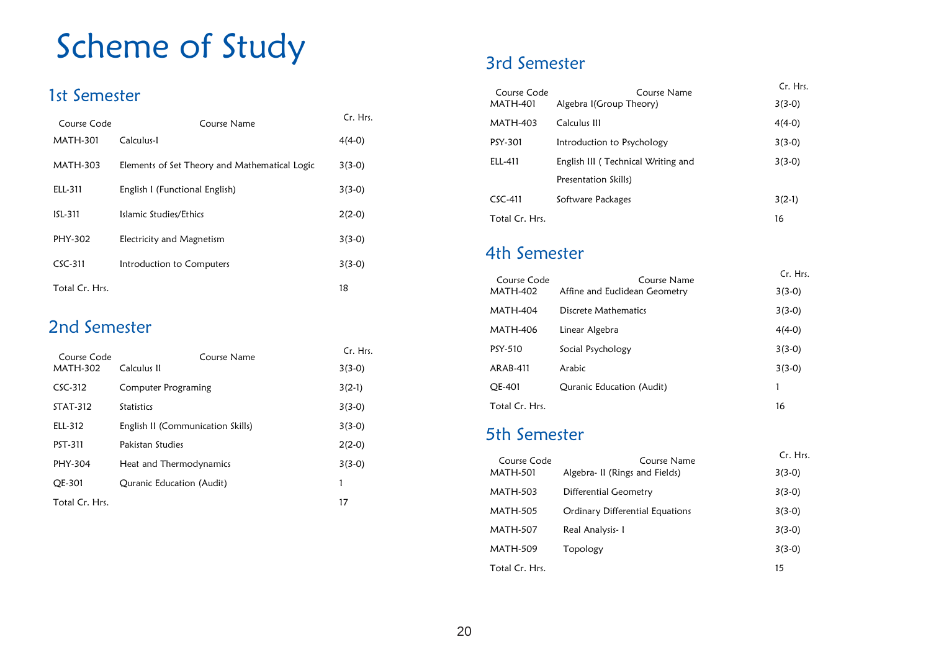## Scheme of Study

#### 1st Semester

| Course Code     | Course Name                                   | Cr. Hrs. |
|-----------------|-----------------------------------------------|----------|
| <b>MATH-301</b> | Calculus-L                                    | $4(4-0)$ |
| MATH-303        | Elements of Set Theory and Mathematical Logic | $3(3-0)$ |
| ELL-311         | English I (Functional English)                | $3(3-0)$ |
| $151 - 311$     | Islamic Studies/Ethics                        | $2(2-0)$ |
| PHY-302         | Electricity and Magnetism                     | $3(3-0)$ |
| $CSC-311$       | Introduction to Computers                     | $3(3-0)$ |
| Total Cr. Hrs.  |                                               | 18       |

#### 2nd Semester

| Course Code     | Course Name                       | Cr. Hrs. |
|-----------------|-----------------------------------|----------|
| <b>MATH-302</b> | Calculus II                       | $3(3-0)$ |
| $CSC-312$       | Computer Programing               | $3(2-1)$ |
| <b>STAT-312</b> | <b>Statistics</b>                 | $3(3-0)$ |
| ELL-312         | English II (Communication Skills) | $3(3-0)$ |
| <b>PST-311</b>  | Pakistan Studies                  | $2(2-0)$ |
| PHY-304         | Heat and Thermodynamics           | $3(3-0)$ |
| OE-301          | Quranic Education (Audit)         | 1        |
| Total Cr. Hrs.  |                                   | 17       |

#### 3rd Semester

| Course Code     | Course Name                        | Cr. Hrs. |
|-----------------|------------------------------------|----------|
| <b>MATH-401</b> | Algebra I(Group Theory)            | $3(3-0)$ |
| <b>MATH-403</b> | Calculus III                       | $4(4-0)$ |
| PSY-301         | Introduction to Psychology         | $3(3-0)$ |
| ELL-411         | English III (Technical Writing and | $3(3-0)$ |
|                 | Presentation Skills)               |          |
| $CSC-411$       | Software Packages                  | $3(2-1)$ |
| Total Cr. Hrs.  |                                    | 16       |

#### 4th Semester

| Course Code     | Course Name                   | Cr. Hrs. |
|-----------------|-------------------------------|----------|
| <b>MATH-402</b> | Affine and Euclidean Geometry | $3(3-0)$ |
| <b>MATH-404</b> | Discrete Mathematics          | $3(3-0)$ |
| <b>MATH-406</b> | Linear Algebra                | $4(4-0)$ |
| PSY-510         | Social Psychology             | $3(3-0)$ |
| ARAB-411        | Arabic                        | $3(3-0)$ |
| OE-401          | Quranic Education (Audit)     | 1        |
| Total Cr. Hrs.  |                               | 16       |

#### 5th Semester

| Course Code     | Course Name                     | Cr. Hrs. |  |
|-----------------|---------------------------------|----------|--|
| <b>MATH-501</b> | Algebra- II (Rings and Fields)  | $3(3-0)$ |  |
| <b>MATH-503</b> | <b>Differential Geometry</b>    | $3(3-0)$ |  |
| <b>MATH-505</b> | Ordinary Differential Equations | $3(3-0)$ |  |
| <b>MATH-507</b> | Real Analysis-1                 | $3(3-0)$ |  |
| <b>MATH-509</b> | Topology                        | $3(3-0)$ |  |
| Total Cr. Hrs.  |                                 | 15       |  |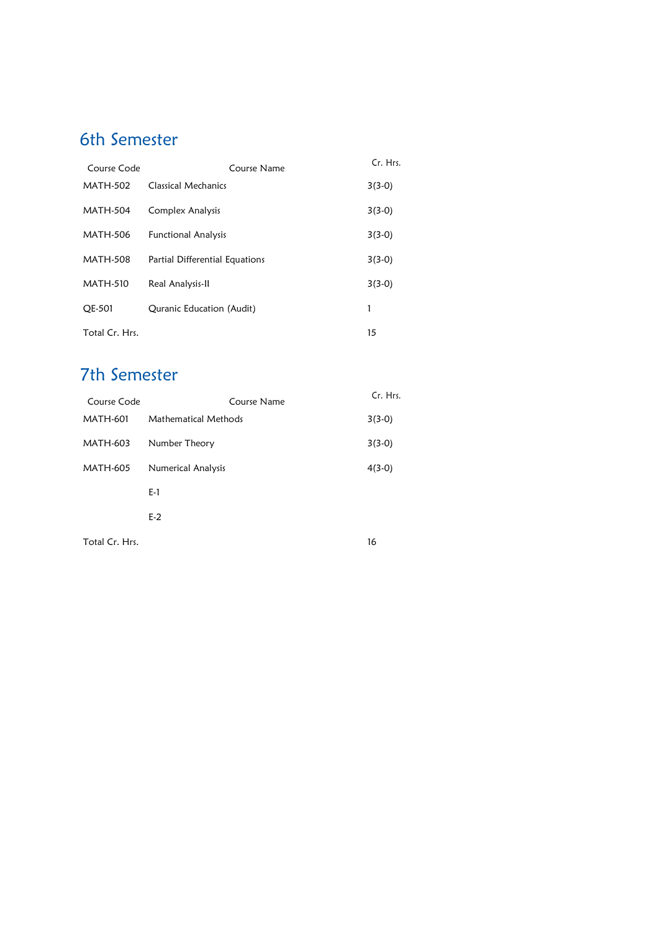## 6th Semester

| Course Code     | Course Name                    | Cr. Hrs. |
|-----------------|--------------------------------|----------|
| <b>MATH-502</b> | <b>Classical Mechanics</b>     | $3(3-0)$ |
| <b>MATH-504</b> | Complex Analysis               | $3(3-0)$ |
| <b>MATH-506</b> | <b>Functional Analysis</b>     | $3(3-0)$ |
| <b>MATH-508</b> | Partial Differential Equations | $3(3-0)$ |
| <b>MATH-510</b> | Real Analysis-II               | $3(3-0)$ |
| <b>OE-501</b>   | Quranic Education (Audit)      |          |
| Total Cr. Hrs.  |                                | 15       |

## 7th Semester

| Course Code     | Course Name                 | Cr. Hrs. |
|-----------------|-----------------------------|----------|
| <b>MATH-601</b> | <b>Mathematical Methods</b> | $3(3-0)$ |
| MATH-603        | Number Theory               | $3(3-0)$ |
| <b>MATH-605</b> | Numerical Analysis          | $4(3-0)$ |
|                 | E-1                         |          |
|                 | $E-2$                       |          |
| Total Cr. Hrs.  |                             | 16       |